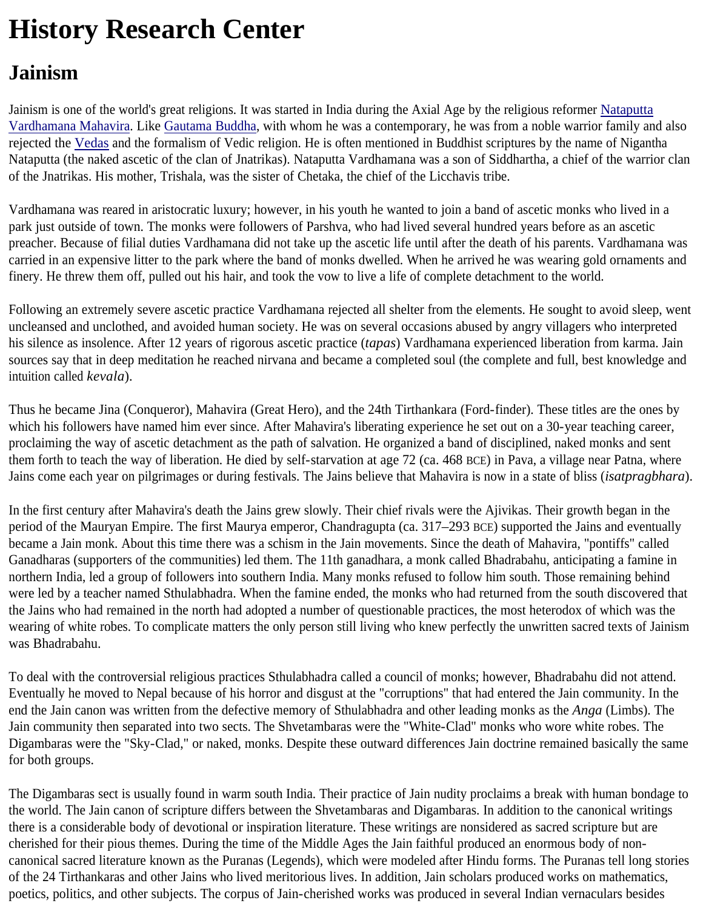## **History Research Center**

## **Jainism**

Jainism is one of the world's great religions. It was started in India during the Axial Age by the religious reformer Nataputta Vardhamana Mahavira. Like Gautama Buddha, with whom he was a contemporary, he was from a noble warrior family and also rejected the Vedas and the formalism of Vedic religion. He is often mentioned in Buddhist scriptures by the name of Nigantha Nataputta (the naked ascetic of the clan of Jnatrikas). Nataputta Vardhamana was a son of Siddhartha, a chief of the warrior clan of the Jnatrikas. His mother, Trishala, was the sister of Chetaka, the chief of the Licchavis tribe.

Vardhamana was reared in aristocratic luxury; however, in his youth he wanted to join a band of ascetic monks who lived in a park just outside of town. The monks were followers of Parshva, who had lived several hundred years before as an ascetic preacher. Because of filial duties Vardhamana did not take up the ascetic life until after the death of his parents. Vardhamana was carried in an expensive litter to the park where the band of monks dwelled. When he arrived he was wearing gold ornaments and finery. He threw them off, pulled out his hair, and took the vow to live a life of complete detachment to the world.

Following an extremely severe ascetic practice Vardhamana rejected all shelter from the elements. He sought to avoid sleep, went uncleansed and unclothed, and avoided human society. He was on several occasions abused by angry villagers who interpreted his silence as insolence. After 12 years of rigorous ascetic practice (*tapas*) Vardhamana experienced liberation from karma. Jain sources say that in deep meditation he reached nirvana and became a completed soul (the complete and full, best knowledge and intuition called *kevala*).

Thus he became Jina (Conqueror), Mahavira (Great Hero), and the 24th Tirthankara (Ford-finder). These titles are the ones by which his followers have named him ever since. After Mahavira's liberating experience he set out on a 30-year teaching career, proclaiming the way of ascetic detachment as the path of salvation. He organized a band of disciplined, naked monks and sent them forth to teach the way of liberation. He died by self-starvation at age 72 (ca. 468 BCE) in Pava, a village near Patna, where Jains come each year on pilgrimages or during festivals. The Jains believe that Mahavira is now in a state of bliss (*isatpragbhara*).

In the first century after Mahavira's death the Jains grew slowly. Their chief rivals were the Ajivikas. Their growth began in the period of the Mauryan Empire. The first Maurya emperor, Chandragupta (ca. 317–293 BCE) supported the Jains and eventually became a Jain monk. About this time there was a schism in the Jain movements. Since the death of Mahavira, "pontiffs" called Ganadharas (supporters of the communities) led them. The 11th ganadhara, a monk called Bhadrabahu, anticipating a famine in northern India, led a group of followers into southern India. Many monks refused to follow him south. Those remaining behind were led by a teacher named Sthulabhadra. When the famine ended, the monks who had returned from the south discovered that the Jains who had remained in the north had adopted a number of questionable practices, the most heterodox of which was the wearing of white robes. To complicate matters the only person still living who knew perfectly the unwritten sacred texts of Jainism was Bhadrabahu.

To deal with the controversial religious practices Sthulabhadra called a council of monks; however, Bhadrabahu did not attend. Eventually he moved to Nepal because of his horror and disgust at the "corruptions" that had entered the Jain community. In the end the Jain canon was written from the defective memory of Sthulabhadra and other leading monks as the *Anga* (Limbs). The Jain community then separated into two sects. The Shvetambaras were the "White-Clad" monks who wore white robes. The Digambaras were the "Sky-Clad," or naked, monks. Despite these outward differences Jain doctrine remained basically the same for both groups.

The Digambaras sect is usually found in warm south India. Their practice of Jain nudity proclaims a break with human bondage to the world. The Jain canon of scripture differs between the Shvetambaras and Digambaras. In addition to the canonical writings there is a considerable body of devotional or inspiration literature. These writings are nonsidered as sacred scripture but are cherished for their pious themes. During the time of the Middle Ages the Jain faithful produced an enormous body of noncanonical sacred literature known as the Puranas (Legends), which were modeled after Hindu forms. The Puranas tell long stories of the 24 Tirthankaras and other Jains who lived meritorious lives. In addition, Jain scholars produced works on mathematics, poetics, politics, and other subjects. The corpus of Jain-cherished works was produced in several Indian vernaculars besides